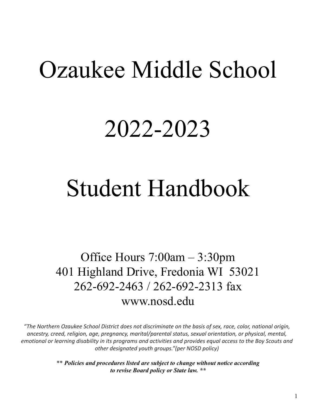# Ozaukee Middle School

# 2022-2023

# Student Handbook

Office Hours 7:00am – 3:30pm 401 Highland Drive, Fredonia WI 53021 262-692-2463 / 262-692-2313 fax www.nosd.edu

*"The Northern Ozaukee School District does not discriminate on the basis of sex, race, color, national origin, ancestry, creed, religion, age, pregnancy, marital/parental status, sexual orientation, or physical, mental, emotional or learning disability in its programs and activities and provides equal access to the Boy Scouts and other designated youth groups."(per NOSD policy)*

> \*\* *Policies and procedures listed are subject to change without notice according to revise Board policy or State law. \*\**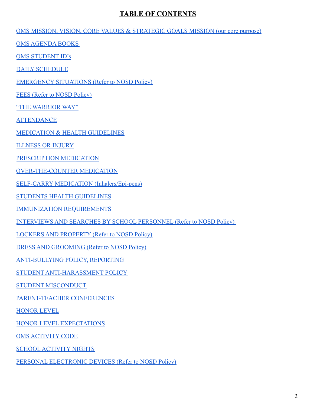# **TABLE OF CONTENTS**

[OMS MISSION, VISION, CORE VALUES & STRATEGIC GOALS MISSION \(our core purpose\)](#page-3-0)

OMS AGENDA BOOKS

OMS STUDENT ID's

DAILY SCHEDULE

[EMERGENCY SITUATIONS \(Refer to NOSD Policy\)](#page-4-0)

[FEES \(Refer to NOSD Policy\)](#page-4-0)

"THE WARRIOR WAY"

**ATTENDANCE** 

**MEDICATION & HEALTH GUIDELINES** 

ILLNESS OR INJURY

PRESCRIPTION MEDICATION

OVER-THE-COUNTER MEDICATION

SELF-CARRY MEDICATION (Inhalers/Epi-pens)

STUDENTS HEALTH GUIDELINES

IMMUNIZATION REQUIREMENTS

INTERVIEWS AND SEARCHES BY SCHOOL PERSONNEL (Refer to NOSD Policy)

LOCKERS AND PROPERTY (Refer to NOSD Policy)

DRESS AND GROOMING (Refer to NOSD Policy)

ANTI-BULLYING POLICY, REPORTING

STUDENT ANTI-HARASSMENT POLICY

STUDENT MISCONDUCT

PARENT-TEACHER CONFERENCES

[HONOR LEVEL](#page-12-0)

HONOR LEVEL EXPECTATIONS

OMS ACTIVITY CODE

SCHOOL ACTIVITY NIGHTS

PERSONAL ELECTRONIC DEVICES (Refer to NOSD Policy)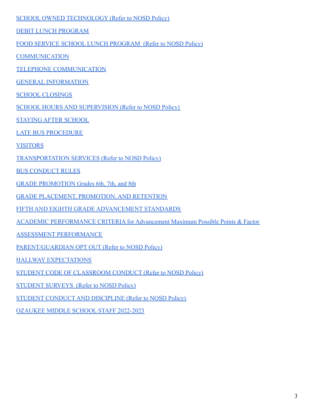## SCHOOL OWNED TECHNOLOGY (Refer to NOSD Policy)

DEBIT LUNCH PROGRAM

FOOD SERVICE SCHOOL LUNCH PROGRAM (Refer to NOSD Policy)

**COMMUNICATION** 

TELEPHONE COMMUNICATION

GENERAL INFORMATION

SCHOOL CLOSINGS

SCHOOL HOURS AND SUPERVISION (Refer to NOSD Policy)

STAYING AFTER SCHOOL

LATE BUS PROCEDURE

VISITORS

TRANSPORTATION SERVICES (Refer to NOSD Policy)

BUS CONDUCT RULES

GRADE PROMOTION Grades 6th, 7th, and 8th

GRADE PLACEMENT, PROMOTION, AND RETENTION

FIFTH AND EIGHTH GRADE ADVANCEMENT STANDARDS

ACADEMIC PERFORMANCE CRITERIA for Advancement Maximum Possible Points & Factor

ASSESSMENT PERFORMANCE

PARENT/GUARDIAN OPT OUT (Refer to NOSD Policy)

HALLWAY EXPECTATIONS

STUDENT CODE OF CLASSROOM CONDUCT (Refer to NOSD Policy)

STUDENT SURVEYS (Refer to NOSD Policy)

STUDENT CONDUCT AND DISCIPLINE (Refer to NOSD Policy)

OZAUKEE MIDDLE SCHOOL STAFF 2022-2023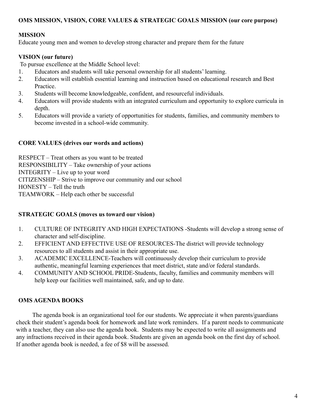#### <span id="page-3-0"></span>**OMS MISSION, VISION, CORE VALUES & STRATEGIC GOALS MISSION (our core purpose)**

#### **MISSION**

Educate young men and women to develop strong character and prepare them for the future

## **VISION (our future)**

To pursue excellence at the Middle School level:

- 1. Educators and students will take personal ownership for all students' learning.
- 2. Educators will establish essential learning and instruction based on educational research and Best Practice.
- 3. Students will become knowledgeable, confident, and resourceful individuals.
- 4. Educators will provide students with an integrated curriculum and opportunity to explore curricula in depth.
- 5. Educators will provide a variety of opportunities for students, families, and community members to become invested in a school-wide community.

#### **CORE VALUES (drives our words and actions)**

RESPECT – Treat others as you want to be treated RESPONSIBILITY – Take ownership of your actions INTEGRITY – Live up to your word CITIZENSHIP – Strive to improve our community and our school HONESTY – Tell the truth TEAMWORK – Help each other be successful

#### **STRATEGIC GOALS (moves us toward our vision)**

- 1. CULTURE OF INTEGRITY AND HIGH EXPECTATIONS -Students will develop a strong sense of character and self-discipline.
- 2. EFFICIENT AND EFFECTIVE USE OF RESOURCES-The district will provide technology resources to all students and assist in their appropriate use.
- 3. ACADEMIC EXCELLENCE-Teachers will continuously develop their curriculum to provide authentic, meaningful learning experiences that meet district, state and/or federal standards.
- 4. COMMUNITY AND SCHOOL PRIDE-Students, faculty, families and community members will help keep our facilities well maintained, safe, and up to date.

#### **OMS AGENDA BOOKS**

The agenda book is an organizational tool for our students. We appreciate it when parents/guardians check their student's agenda book for homework and late work reminders. If a parent needs to communicate with a teacher, they can also use the agenda book. Students may be expected to write all assignments and any infractions received in their agenda book. Students are given an agenda book on the first day of school. If another agenda book is needed, a fee of \$8 will be assessed.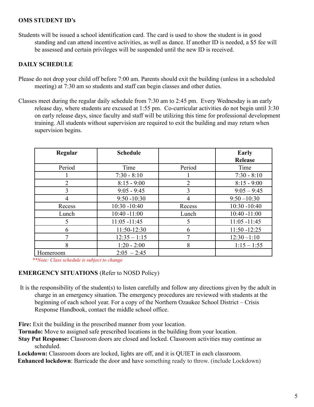## **OMS STUDENT ID's**

Students will be issued a school identification card. The card is used to show the student is in good standing and can attend incentive activities, as well as dance. If another ID is needed, a \$5 fee will be assessed and certain privileges will be suspended until the new ID is received.

# **DAILY SCHEDULE**

- Please do not drop your child off before 7:00 am. Parents should exit the building (unless in a scheduled meeting) at 7:30 am so students and staff can begin classes and other duties.
- Classes meet during the regular daily schedule from 7:30 am to 2:45 pm. Every Wednesday is an early release day, where students are excused at 1:55 pm. Co-curricular activities do not begin until 3:30 on early release days, since faculty and staff will be utilizing this time for professional development training. All students without supervision are required to exit the building and may return when supervision begins.

| Regular        | <b>Schedule</b> |                | Early           |
|----------------|-----------------|----------------|-----------------|
|                |                 |                | <b>Release</b>  |
| Period         | Time            | Period         | Time            |
|                | $7:30 - 8:10$   |                | $7:30 - 8:10$   |
| $\overline{2}$ | $8:15 - 9:00$   | $\overline{2}$ | $8:15 - 9:00$   |
| 3              | $9:05 - 9:45$   | 3              | $9:05 - 9:45$   |
|                | $9:50 - 10:30$  | 4              | $9:50 - 10:30$  |
| Recess         | $10:30 - 10:40$ | Recess         | $10:30 - 10:40$ |
| Lunch          | $10:40 - 11:00$ | Lunch          | $10:40 - 11:00$ |
| 5              | $11:05 - 11:45$ | 5              | $11:05 - 11:45$ |
| 6              | 11:50-12:30     | 6              | $11:50 - 12:25$ |
|                | $12:35 - 1:15$  |                | $12:30 - 1:10$  |
| 8              | $1:20 - 2:00$   | 8              | $1:15 - 1:55$   |
| Homeroom       | $2:05 - 2:45$   |                |                 |

*\*\*Note: Class schedule is subject to change*

# <span id="page-4-0"></span>**EMERGENCY SITUATIONS** (Refer to NOSD Policy)

It is the responsibility of the student(s) to listen carefully and follow any directions given by the adult in charge in an emergency situation. The emergency procedures are reviewed with students at the beginning of each school year. For a copy of the Northern Ozaukee School District – Crisis Response Handbook, contact the middle school office.

**Fire:** Exit the building in the prescribed manner from your location.

**Tornado:** Move to assigned safe prescribed locations in the building from your location.

**Stay Put Response:** Classroom doors are closed and locked. Classroom activities may continue as scheduled.

**Lockdown:** Classroom doors are locked, lights are off, and it is QUIET in each classroom.

**Enhanced lockdown**: Barricade the door and have something ready to throw. (include Lockdown)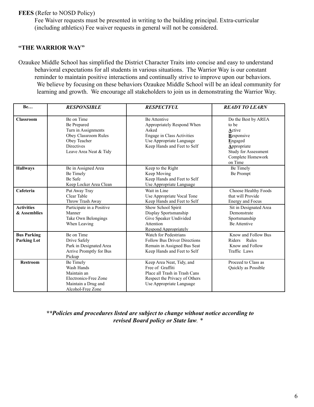**FEES** (Refer to NOSD Policy)

Fee Waiver requests must be presented in writing to the building principal. Extra-curricular (including athletics) Fee waiver requests in general will not be considered.

#### **"THE WARRIOR WAY"**

Ozaukee Middle School has simplified the District Character Traits into concise and easy to understand behavioral expectations for all students in various situations. The Warrior Way is our constant reminder to maintain positive interactions and continually strive to improve upon our behaviors. We believe by focusing on these behaviors Ozaukee Middle School will be an ideal community for learning and growth. We encourage all stakeholders to join us in demonstrating the Warrior Way.

| <b>Be</b>                                | <b>RESPONSIBLE</b>                                                                                                                      | <b>RESPECTFUL</b>                                                                                                                                          | <b>READY TO LEARN</b>                                                                                                                         |
|------------------------------------------|-----------------------------------------------------------------------------------------------------------------------------------------|------------------------------------------------------------------------------------------------------------------------------------------------------------|-----------------------------------------------------------------------------------------------------------------------------------------------|
| <b>Classroom</b>                         | Be on Time<br>Be Prepared<br>Turn in Assignments<br>Obey Classroom Rules<br>Obey Teacher<br><b>Directives</b><br>Leave Area Neat & Tidy | <b>Be Attentive</b><br>Appropriately Respond When<br>Asked<br><b>Engage in Class Activities</b><br>Use Appropriate Language<br>Keep Hands and Feet to Self | Do the Best by AREA<br>to be<br>Active<br>Responsive<br>Engaged<br>Appropriate<br><b>Study for Assessment</b><br>Complete Homework<br>on Time |
| <b>Hallways</b>                          | Be in Assigned Area<br>Be Timely<br>Be Safe<br>Keep Locker Area Clean                                                                   | Keep to the Right<br>Keep Moving<br>Keep Hands and Feet to Self<br>Use Appropriate Language                                                                | Be Timely<br>Be Prompt                                                                                                                        |
| Cafeteria                                | Put Away Tray<br>Clear Table<br>Throw Trash Away                                                                                        | Wait in Line<br>Use Appropriate Vocal Tone<br>Keep Hands and Feet to Self                                                                                  | Choose Healthy Foods<br>that will Provide<br>Energy and Focus                                                                                 |
| <b>Activities</b><br>& Assemblies        | Participate in a Positive<br>Manner<br>Take Own Belongings<br>When Leaving                                                              | Show School Spirit<br>Display Sportsmanship<br>Give Speaker Undivided<br>Attention<br><b>Respond Appropriately</b>                                         | Sit in Designated Area<br>Demonstrate<br>Sportsmanship<br><b>Be Attentive</b>                                                                 |
| <b>Bus Parking</b><br><b>Parking Lot</b> | Be on Time<br>Drive Safely<br>Park in Designated Area<br>Arrive Promptly for Bus<br>Pickup                                              | Watch for Pedestrians<br><b>Follow Bus Driver Directions</b><br>Remain in Assigned Bus Seat<br>Keep Hands and Feet to Self                                 | Know and Follow Bus<br>Rules<br>Riders<br>Know and Follow<br>Traffic Laws                                                                     |
| <b>Restroom</b>                          | Be Timely<br>Wash Hands<br>Maintain an<br>Electronics-Free Zone<br>Maintain a Drug and<br>Alcohol-Free Zone                             | Keep Area Neat, Tidy, and<br>Free of Graffiti<br>Place all Trash in Trash Cans<br>Respect the Privacy of Others<br>Use Appropriate Language                | Proceed to Class as<br>Quickly as Possible                                                                                                    |

#### *\*\*Policies and procedures listed are subject to change without notice according to revised Board policy or State law. \**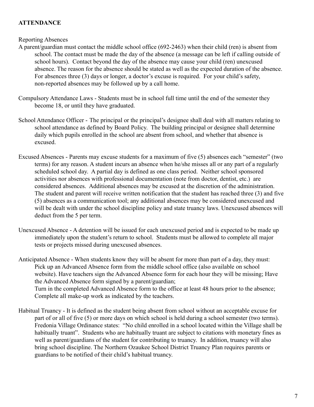# **ATTENDANCE**

#### Reporting Absences

- A parent/guardian must contact the middle school office (692-2463) when their child (ren) is absent from school. The contact must be made the day of the absence (a message can be left if calling outside of school hours). Contact beyond the day of the absence may cause your child (ren) unexcused absence. The reason for the absence should be stated as well as the expected duration of the absence. For absences three (3) days or longer, a doctor's excuse is required. For your child's safety, non-reported absences may be followed up by a call home.
- Compulsory Attendance Laws Students must be in school full time until the end of the semester they become 18, or until they have graduated.
- School Attendance Officer The principal or the principal's designee shall deal with all matters relating to school attendance as defined by Board Policy. The building principal or designee shall determine daily which pupils enrolled in the school are absent from school, and whether that absence is excused.
- Excused Absences Parents may excuse students for a maximum of five (5) absences each "semester" (two terms) for any reason. A student incurs an absence when he/she misses all or any part of a regularly scheduled school day. A partial day is defined as one class period. Neither school sponsored activities nor absences with professional documentation (note from doctor, dentist, etc.) are considered absences. Additional absences may be excused at the discretion of the administration. The student and parent will receive written notification that the student has reached three (3) and five (5) absences as a communication tool; any additional absences may be considered unexcused and will be dealt with under the school discipline policy and state truancy laws. Unexcused absences will deduct from the 5 per term.
- Unexcused Absence A detention will be issued for each unexcused period and is expected to be made up immediately upon the student's return to school. Students must be allowed to complete all major tests or projects missed during unexcused absences.

Anticipated Absence - When students know they will be absent for more than part of a day, they must: Pick up an Advanced Absence form from the middle school office (also available on school website). Have teachers sign the Advanced Absence form for each hour they will be missing; Have the Advanced Absence form signed by a parent/guardian; Turn in the completed Advanced Absence form to the office at least 48 hours prior to the absence; Complete all make-up work as indicated by the teachers.

Habitual Truancy - It is defined as the student being absent from school without an acceptable excuse for part of or all of five (5) or more days on which school is held during a school semester (two terms). Fredonia Village Ordinance states: "No child enrolled in a school located within the Village shall be habitually truant". Students who are habitually truant are subject to citations with monetary fines as well as parent/guardians of the student for contributing to truancy. In addition, truancy will also bring school discipline. The Northern Ozaukee School District Truancy Plan requires parents or guardians to be notified of their child's habitual truancy.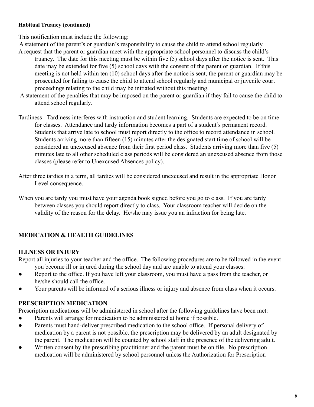#### **Habitual Truancy (continued)**

This notification must include the following:

- A statement of the parent's or guardian's responsibility to cause the child to attend school regularly.
- A request that the parent or guardian meet with the appropriate school personnel to discuss the child's truancy. The date for this meeting must be within five (5) school days after the notice is sent. This date may be extended for five (5) school days with the consent of the parent or guardian. If this meeting is not held within ten (10) school days after the notice is sent, the parent or guardian may be prosecuted for failing to cause the child to attend school regularly and municipal or juvenile court proceedings relating to the child may be initiated without this meeting.
- A statement of the penalties that may be imposed on the parent or guardian if they fail to cause the child to attend school regularly.
- Tardiness Tardiness interferes with instruction and student learning. Students are expected to be on time for classes. Attendance and tardy information becomes a part of a student's permanent record. Students that arrive late to school must report directly to the office to record attendance in school. Students arriving more than fifteen (15) minutes after the designated start time of school will be considered an unexcused absence from their first period class. Students arriving more than five (5) minutes late to all other scheduled class periods will be considered an unexcused absence from those classes (please refer to Unexcused Absences policy).
- After three tardies in a term, all tardies will be considered unexcused and result in the appropriate Honor Level consequence.
- When you are tardy you must have your agenda book signed before you go to class. If you are tardy between classes you should report directly to class. Your classroom teacher will decide on the validity of the reason for the delay. He/she may issue you an infraction for being late.

# **MEDICATION & HEALTH GUIDELINES**

# **ILLNESS OR INJURY**

Report all injuries to your teacher and the office. The following procedures are to be followed in the event you become ill or injured during the school day and are unable to attend your classes:

- Report to the office. If you have left your classroom, you must have a pass from the teacher, or he/she should call the office.
- Your parents will be informed of a serious illness or injury and absence from class when it occurs.

# **PRESCRIPTION MEDICATION**

Prescription medications will be administered in school after the following guidelines have been met:

- Parents will arrange for medication to be administered at home if possible.
- Parents must hand-deliver prescribed medication to the school office. If personal delivery of medication by a parent is not possible, the prescription may be delivered by an adult designated by the parent. The medication will be counted by school staff in the presence of the delivering adult.
- Written consent by the prescribing practitioner and the parent must be on file. No prescription medication will be administered by school personnel unless the Authorization for Prescription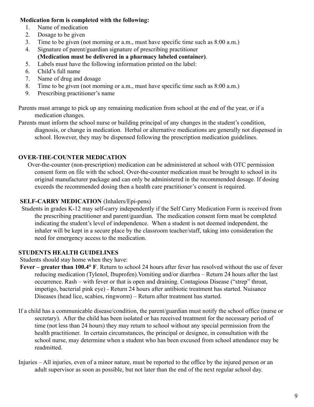# **Medication form is completed with the following:**

- 1. Name of medication
- 2. Dosage to be given
- 3. Time to be given (not morning or a.m., must have specific time such as 8:00 a.m.)
- 4. Signature of parent/guardian signature of prescribing practitioner **(Medication must be delivered in a pharmacy labeled container)**.
- 5. Labels must have the following information printed on the label:
- 6. Child's full name
- 7. Name of drug and dosage
- 8. Time to be given (not morning or a.m., must have specific time such as 8:00 a.m.)
- 9. Prescribing practitioner's name

Parents must arrange to pick up any remaining medication from school at the end of the year, or if a medication changes.

Parents must inform the school nurse or building principal of any changes in the student's condition, diagnosis, or change in medication. Herbal or alternative medications are generally not dispensed in school. However, they may be dispensed following the prescription medication guidelines.

# **OVER-THE-COUNTER MEDICATION**

Over-the-counter (non-prescription) medication can be administered at school with OTC permission consent form on file with the school. Over-the-counter medication must be brought to school in its original manufacturer package and can only be administered in the recommended dosage. If dosing exceeds the recommended dosing then a health care practitioner's consent is required.

# **SELF-CARRY MEDICATION** (Inhalers/Epi-pens)

Students in grades K-12 may self-carry independently if the Self Carry Medication Form is received from the prescribing practitioner and parent/guardian. The medication consent form must be completed indicating the student's level of independence. When a student is not deemed independent, the inhaler will be kept in a secure place by the classroom teacher/staff, taking into consideration the need for emergency access to the medication.

# **STUDENTS HEALTH GUIDELINES**

Students should stay home when they have:

- **Fever greater than 100.4° F**. Return to school 24 hours after fever has resolved without the use of fever reducing medication (Tylenol, Ibuprofen).Vomiting and/or diarrhea – Return 24 hours after the last occurrence. Rash – with fever or that is open and draining. Contagious Disease ("strep" throat, impetigo, bacterial pink eye) - Return 24 hours after antibiotic treatment has started. Nuisance Diseases (head lice, scabies, ringworm) – Return after treatment has started.
- If a child has a communicable disease/condition, the parent/guardian must notify the school office (nurse or secretary). After the child has been isolated or has received treatment for the necessary period of time (not less than 24 hours) they may return to school without any special permission from the health practitioner. In certain circumstances, the principal or designee, in consultation with the school nurse, may determine when a student who has been excused from school attendance may be readmitted.
- Injuries All injuries, even of a minor nature, must be reported to the office by the injured person or an adult supervisor as soon as possible, but not later than the end of the next regular school day.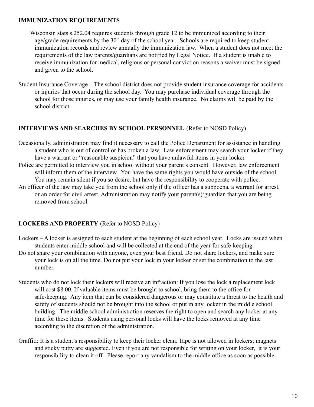#### **IMMUNIZATION REQUIREMENTS**

Wisconsin stats s.252.04 requires students through grade 12 to be immunized according to their age/grade requirements by the  $30<sup>th</sup>$  day of the school year. Schools are required to keep student immunization records and review annually the immunization law. When a student does not meet the requirements of the law parents/guardians are notified by Legal Notice. If a student is unable to receive immunization for medical, religious or personal conviction reasons a waiver must be signed and given to the school.

Student Insurance Coverage – The school district does not provide student insurance coverage for accidents or injuries that occur during the school day. You may purchase individual coverage through the school for those injuries, or may use your family health insurance. No claims will be paid by the school district.

# **INTERVIEWS AND SEARCHES BY SCHOOL PERSONNEL** (Refer to NOSD Policy)

- Occasionally, administration may find it necessary to call the Police Department for assistance in handling a student who is out of control or has broken a law. Law enforcement may search your locker if they have a warrant or "reasonable suspicion" that you have unlawful items in your locker.
- Police are permitted to interview you in school without your parent's consent. However, law enforcement will inform them of the interview. You have the same rights you would have outside of the school. You may remain silent if you so desire, but have the responsibility to cooperate with police.
- An officer of the law may take you from the school only if the officer has a subpoena, a warrant for arrest, or an order for civil arrest. Administration may notify your parent(s)/guardian that you are being removed from school.

# **LOCKERS AND PROPERTY** (Refer to NOSD Policy)

- Lockers A locker is assigned to each student at the beginning of each school year. Locks are issued when students enter middle school and will be collected at the end of the year for safe-keeping.
- Do not share your combination with anyone, even your best friend. Do not share lockers, and make sure your lock is on all the time. Do not put your lock in your locker or set the combination to the last number.
- Students who do not lock their lockers will receive an infraction: If you lose the lock a replacement lock will cost \$8.00. If valuable items must be brought to school, bring them to the office for safe-keeping. Any item that can be considered dangerous or may constitute a threat to the health and safety of students should not be brought into the school or put in any locker in the middle school building. The middle school administration reserves the right to open and search any locker at any time for these items. Students using personal locks will have the locks removed at any time according to the discretion of the administration.
- Graffiti: It is a student's responsibility to keep their locker clean. Tape is not allowed in lockers; magnets and sticky putty are suggested. Even if you are not responsible for writing on your locker, it is your responsibility to clean it off. Please report any vandalism to the middle office as soon as possible.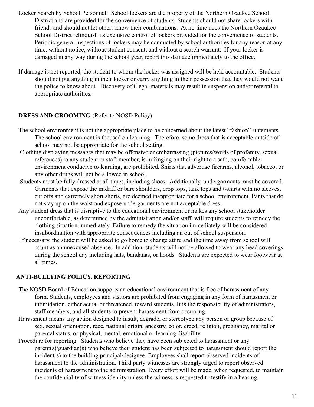- Locker Search by School Personnel: School lockers are the property of the Northern Ozaukee School District and are provided for the convenience of students. Students should not share lockers with friends and should not let others know their combinations. At no time does the Northern Ozaukee School District relinquish its exclusive control of lockers provided for the convenience of students. Periodic general inspections of lockers may be conducted by school authorities for any reason at any time, without notice, without student consent, and without a search warrant. If your locker is damaged in any way during the school year, report this damage immediately to the office.
- If damage is not reported, the student to whom the locker was assigned will be held accountable. Students should not put anything in their locker or carry anything in their possession that they would not want the police to know about. Discovery of illegal materials may result in suspension and/or referral to appropriate authorities.

# **DRESS AND GROOMING** (Refer to NOSD Policy)

- The school environment is not the appropriate place to be concerned about the latest "fashion" statements. The school environment is focused on learning. Therefore, some dress that is acceptable outside of school may not be appropriate for the school setting.
- Clothing displaying messages that may be offensive or embarrassing (pictures/words of profanity, sexual references) to any student or staff member, is infringing on their right to a safe, comfortable environment conducive to learning, are prohibited. Shirts that advertise firearms, alcohol, tobacco, or any other drugs will not be allowed in school.
- Students must be fully dressed at all times, including shoes. Additionally, undergarments must be covered. Garments that expose the midriff or bare shoulders, crop tops, tank tops and t-shirts with no sleeves, cut offs and extremely short shorts, are deemed inappropriate for a school environment. Pants that do not stay up on the waist and expose undergarments are not acceptable dress.
- Any student dress that is disruptive to the educational environment or makes any school stakeholder uncomfortable, as determined by the administration and/or staff, will require students to remedy the clothing situation immediately. Failure to remedy the situation immediately will be considered insubordination with appropriate consequences including an out of school suspension.
- If necessary, the student will be asked to go home to change attire and the time away from school will count as an unexcused absence. In addition, students will not be allowed to wear any head coverings during the school day including hats, bandanas, or hoods. Students are expected to wear footwear at all times.

# **ANTI-BULLYING POLICY, REPORTING**

- The NOSD Board of Education supports an educational environment that is free of harassment of any form. Students, employees and visitors are prohibited from engaging in any form of harassment or intimidation, either actual or threatened, toward students. It is the responsibility of administrators, staff members, and all students to prevent harassment from occurring.
- Harassment means any action designed to insult, degrade, or stereotype any person or group because of sex, sexual orientation, race, national origin, ancestry, color, creed, religion, pregnancy, marital or parental status, or physical, mental, emotional or learning disability.
- Procedure for reporting: Students who believe they have been subjected to harassment or any parent(s)/guardian(s) who believe their student has been subjected to harassment should report the incident(s) to the building principal/designee. Employees shall report observed incidents of harassment to the administration. Third party witnesses are strongly urged to report observed incidents of harassment to the administration. Every effort will be made, when requested, to maintain the confidentiality of witness identity unless the witness is requested to testify in a hearing.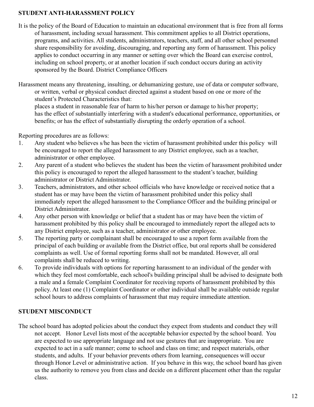# **STUDENT ANTI-HARASSMENT POLICY**

- It is the policy of the Board of Education to maintain an educational environment that is free from all forms of harassment, including sexual harassment. This commitment applies to all District operations, programs, and activities. All students, administrators, teachers, staff, and all other school personnel share responsibility for avoiding, discouraging, and reporting any form of harassment. This policy applies to conduct occurring in any manner or setting over which the Board can exercise control, including on school property, or at another location if such conduct occurs during an activity sponsored by the Board. District Compliance Officers
- Harassment means any threatening, insulting, or dehumanizing gesture, use of data or computer software, or written, verbal or physical conduct directed against a student based on one or more of the student's Protected Characteristics that:

places a student in reasonable fear of harm to his/her person or damage to his/her property; has the effect of substantially interfering with a student's educational performance, opportunities, or benefits; or has the effect of substantially disrupting the orderly operation of a school.

Reporting procedures are as follows:

- 1. Any student who believes s/he has been the victim of harassment prohibited under this policy will be encouraged to report the alleged harassment to any District employee, such as a teacher, administrator or other employee.
- 2. Any parent of a student who believes the student has been the victim of harassment prohibited under this policy is encouraged to report the alleged harassment to the student's teacher, building administrator or District Administrator.
- 3. Teachers, administrators, and other school officials who have knowledge or received notice that a student has or may have been the victim of harassment prohibited under this policy shall immediately report the alleged harassment to the Compliance Officer and the building principal or District Administrator.
- 4. Any other person with knowledge or belief that a student has or may have been the victim of harassment prohibited by this policy shall be encouraged to immediately report the alleged acts to any District employee, such as a teacher, administrator or other employee.
- 5. The reporting party or complainant shall be encouraged to use a report form available from the principal of each building or available from the District office, but oral reports shall be considered complaints as well. Use of formal reporting forms shall not be mandated. However, all oral complaints shall be reduced to writing.
- 6. To provide individuals with options for reporting harassment to an individual of the gender with which they feel most comfortable, each school's building principal shall be advised to designate both a male and a female Complaint Coordinator for receiving reports of harassment prohibited by this policy. At least one (1) Complaint Coordinator or other individual shall be available outside regular school hours to address complaints of harassment that may require immediate attention.

# **STUDENT MISCONDUCT**

The school board has adopted policies about the conduct they expect from students and conduct they will not accept. Honor Level lists most of the acceptable behavior expected by the school board. You are expected to use appropriate language and not use gestures that are inappropriate. You are expected to act in a safe manner; come to school and class on time; and respect materials, other students, and adults. If your behavior prevents others from learning, consequences will occur through Honor Level or administrative action. If you behave in this way, the school board has given us the authority to remove you from class and decide on a different placement other than the regular class.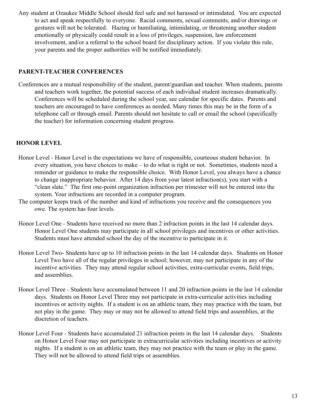Any student at Ozaukee Middle School should feel safe and not harassed or intimidated. You are expected to act and speak respectfully to everyone. Racial comments, sexual comments, and/or drawings or gestures will not be tolerated. Hazing or humiliating, intimidating, or threatening another student emotionally or physically could result in a loss of privileges, suspension, law enforcement involvement, and/or a referral to the school board for disciplinary action. If you violate this rule, your parents and the proper authorities will be notified immediately.

# **PARENT-TEACHER CONFERENCES**

Conferences are a mutual responsibility of the student, parent/guardian and teacher. When students, parents and teachers work together, the potential success of each individual student increases dramatically. Conferences will be scheduled during the school year, see calendar for specific dates. Parents and teachers are encouraged to have conferences as needed. Many times this may be in the form of a telephone call or through email. Parents should not hesitate to call or email the school (specifically the teacher) for information concerning student progress.

# <span id="page-12-0"></span>**HONOR LEVEL**

- Honor Level Honor Level is the expectations we have of responsible, courteous student behavior. In every situation, you have choices to make – to do what is right or not. Sometimes, students need a reminder or guidance to make the responsible choice. With Honor Level, you always have a chance to change inappropriate behavior. After 14 days from your latest infraction(s), you start with a "clean slate." The first one-point organization infraction per trimester will not be entered into the system. Your infractions are recorded in a computer program.
- The computer keeps track of the number and kind of infractions you receive and the consequences you owe. The system has four levels.
- Honor Level One Students have received no more than 2 infraction points in the last 14 calendar days. Honor Level One students may participate in all school privileges and incentives or other activities. Students must have attended school the day of the incentive to participate in it.
- Honor Level Two- Students have up to 10 infraction points in the last 14 calendar days. Students on Honor Level Two have all of the regular privileges in school; however, may not participate in any of the incentive activities. They may attend regular school activities, extra-curricular events, field trips, and assemblies.
- Honor Level Three Students have accumulated between 11 and 20 infraction points in the last 14 calendar days. Students on Honor Level Three may not participate in extra-curricular activities including incentives or activity nights. If a student is on an athletic team, they may practice with the team, but not play in the game. They may or may not be allowed to attend field trips and assemblies, at the discretion of teachers.
- Honor Level Four Students have accumulated 21 infraction points in the last 14 calendar days. Students on Honor Level Four may not participate in extracurricular activities including incentives or activity nights. If a student is on an athletic team, they may not practice with the team or play in the game. They will not be allowed to attend field trips or assemblies.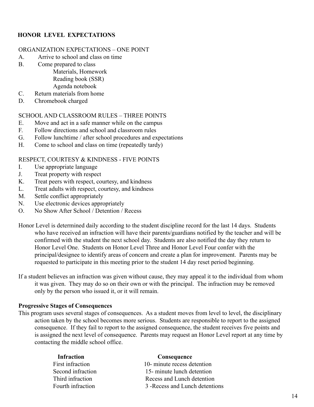# **HONOR LEVEL EXPECTATIONS**

#### ORGANIZATION EXPECTATIONS – ONE POINT

- A. Arrive to school and class on time
- B. Come prepared to class

Materials, Homework Reading book (SSR) Agenda notebook

- C. Return materials from home
- D. Chromebook charged

#### SCHOOL AND CLASSROOM RULES – THREE POINTS

- E. Move and act in a safe manner while on the campus
- F. Follow directions and school and classroom rules
- G. Follow lunchtime / after school procedures and expectations
- H. Come to school and class on time (repeatedly tardy)

#### RESPECT, COURTESY & KINDNESS - FIVE POINTS

- I. Use appropriate language
- J. Treat property with respect
- K. Treat peers with respect, courtesy, and kindness
- L. Treat adults with respect, courtesy, and kindness
- M. Settle conflict appropriately
- N. Use electronic devices appropriately
- O. No Show After School / Detention / Recess

Honor Level is determined daily according to the student discipline record for the last 14 days. Students who have received an infraction will have their parents/guardians notified by the teacher and will be confirmed with the student the next school day. Students are also notified the day they return to Honor Level One. Students on Honor Level Three and Honor Level Four confer with the principal/designee to identify areas of concern and create a plan for improvement. Parents may be requested to participate in this meeting prior to the student 14 day reset period beginning.

If a student believes an infraction was given without cause, they may appeal it to the individual from whom it was given. They may do so on their own or with the principal. The infraction may be removed only by the person who issued it, or it will remain.

#### **Progressive Stages of Consequences**

This program uses several stages of consequences. As a student moves from level to level, the disciplinary action taken by the school becomes more serious. Students are responsible to report to the assigned consequence. If they fail to report to the assigned consequence, the student receives five points and is assigned the next level of consequence. Parents may request an Honor Level report at any time by contacting the middle school office.

| 3 - Recess and Lunch detentions |
|---------------------------------|
|                                 |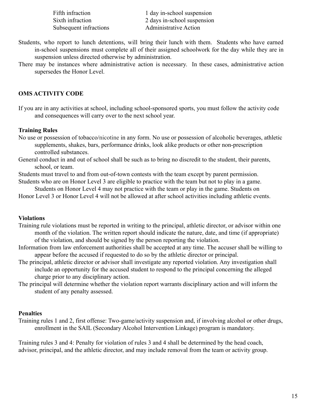| Fifth infraction       | 1 day in-school suspension   |
|------------------------|------------------------------|
| Sixth infraction       | 2 days in-school suspension  |
| Subsequent infractions | <b>Administrative Action</b> |

- Students, who report to lunch detentions, will bring their lunch with them. Students who have earned in-school suspensions must complete all of their assigned schoolwork for the day while they are in suspension unless directed otherwise by administration.
- There may be instances where administrative action is necessary. In these cases, administrative action supersedes the Honor Level.

#### **OMS ACTIVITY CODE**

If you are in any activities at school, including school-sponsored sports, you must follow the activity code and consequences will carry over to the next school year.

#### **Training Rules**

- No use or possession of tobacco/nicotine in any form. No use or possession of alcoholic beverages, athletic supplements, shakes, bars, performance drinks, look alike products or other non-prescription controlled substances.
- General conduct in and out of school shall be such as to bring no discredit to the student, their parents, school, or team.
- Students must travel to and from out-of-town contests with the team except by parent permission.
- Students who are on Honor Level 3 are eligible to practice with the team but not to play in a game.

Students on Honor Level 4 may not practice with the team or play in the game. Students on Honor Level 3 or Honor Level 4 will not be allowed at after school activities including athletic events.

#### **Violations**

- Training rule violations must be reported in writing to the principal, athletic director, or advisor within one month of the violation. The written report should indicate the nature, date, and time (if appropriate) of the violation, and should be signed by the person reporting the violation.
- Information from law enforcement authorities shall be accepted at any time. The accuser shall be willing to appear before the accused if requested to do so by the athletic director or principal.
- The principal, athletic director or advisor shall investigate any reported violation. Any investigation shall include an opportunity for the accused student to respond to the principal concerning the alleged charge prior to any disciplinary action.
- The principal will determine whether the violation report warrants disciplinary action and will inform the student of any penalty assessed.

#### **Penalties**

Training rules 1 and 2, first offense: Two-game/activity suspension and, if involving alcohol or other drugs, enrollment in the SAIL (Secondary Alcohol Intervention Linkage) program is mandatory.

Training rules 3 and 4: Penalty for violation of rules 3 and 4 shall be determined by the head coach, advisor, principal, and the athletic director, and may include removal from the team or activity group.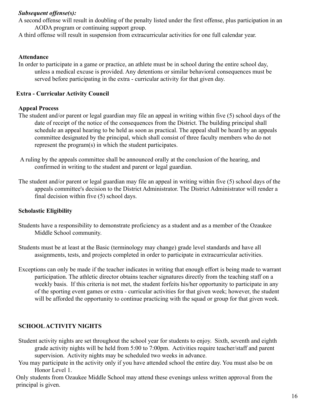## *Subsequent offense(s):*

A second offense will result in doubling of the penalty listed under the first offense, plus participation in an AODA program or continuing support group.

A third offense will result in suspension from extracurricular activities for one full calendar year.

#### **Attendance**

In order to participate in a game or practice, an athlete must be in school during the entire school day, unless a medical excuse is provided. Any detentions or similar behavioral consequences must be served before participating in the extra - curricular activity for that given day.

## **Extra - Curricular Activity Council**

### **Appeal Process**

- The student and/or parent or legal guardian may file an appeal in writing within five (5) school days of the date of receipt of the notice of the consequences from the District. The building principal shall schedule an appeal hearing to be held as soon as practical. The appeal shall be heard by an appeals committee designated by the principal, which shall consist of three faculty members who do not represent the program(s) in which the student participates.
- A ruling by the appeals committee shall be announced orally at the conclusion of the hearing, and confirmed in writing to the student and parent or legal guardian.
- The student and/or parent or legal guardian may file an appeal in writing within five (5) school days of the appeals committee's decision to the District Administrator. The District Administrator will render a final decision within five (5) school days.

# **Scholastic Eligibility**

- Students have a responsibility to demonstrate proficiency as a student and as a member of the Ozaukee Middle School community.
- Students must be at least at the Basic (terminology may change) grade level standards and have all assignments, tests, and projects completed in order to participate in extracurricular activities.
- Exceptions can only be made if the teacher indicates in writing that enough effort is being made to warrant participation. The athletic director obtains teacher signatures directly from the teaching staff on a weekly basis. If this criteria is not met, the student forfeits his/her opportunity to participate in any of the sporting event games or extra - curricular activities for that given week; however, the student will be afforded the opportunity to continue practicing with the squad or group for that given week.

# **SCHOOLACTIVITY NIGHTS**

- Student activity nights are set throughout the school year for students to enjoy. Sixth, seventh and eighth grade activity nights will be held from 5:00 to 7:00pm. Activities require teacher/staff and parent supervision. Activity nights may be scheduled two weeks in advance.
- You may participate in the activity only if you have attended school the entire day. You must also be on Honor Level 1.

Only students from Ozaukee Middle School may attend these evenings unless written approval from the principal is given.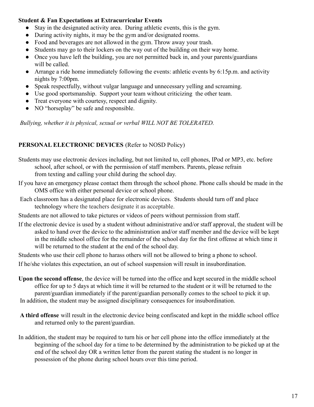#### **Student & Fan Expectations at Extracurricular Events**

- Stay in the designated activity area. During athletic events, this is the gym.
- During activity nights, it may be the gym and/or designated rooms.
- Food and beverages are not allowed in the gym. Throw away your trash.
- Students may go to their lockers on the way out of the building on their way home.
- Once you have left the building, you are not permitted back in, and your parents/guardians will be called.
- Arrange a ride home immediately following the events: athletic events by 6:15p.m. and activity nights by 7:00pm.
- Speak respectfully, without vulgar language and unnecessary yelling and screaming.
- Use good sportsmanship. Support your team without criticizing the other team.
- Treat everyone with courtesy, respect and dignity.
- NO "horseplay" be safe and responsible.

*Bullying, whether it is physical, sexual or verbal WILL NOT BE TOLERATED.*

# **PERSONAL ELECTRONIC DEVICES** (Refer to NOSD Policy)

- Students may use electronic devices including, but not limited to, cell phones, IPod or MP3, etc. before school, after school, or with the permission of staff members. Parents, please refrain from texting and calling your child during the school day.
- If you have an emergency please contact them through the school phone. Phone calls should be made in the OMS office with either personal device or school phone.
- Each classroom has a designated place for electronic devices. Students should turn off and place technology where the teachers designate it as acceptable.
- Students are not allowed to take pictures or videos of peers without permission from staff.
- If the electronic device is used by a student without administrative and/or staff approval, the student will be asked to hand over the device to the administration and/or staff member and the device will be kept in the middle school office for the remainder of the school day for the first offense at which time it will be returned to the student at the end of the school day.

Students who use their cell phone to harass others will not be allowed to bring a phone to school.

If he/she violates this expectation, an out of school suspension will result in insubordination.

- **Upon the second offense**, the device will be turned into the office and kept secured in the middle school office for up to 5 days at which time it will be returned to the student or it will be returned to the parent/guardian immediately if the parent/guardian personally comes to the school to pick it up. In addition, the student may be assigned disciplinary consequences for insubordination.
- **A third offense** will result in the electronic device being confiscated and kept in the middle school office and returned only to the parent/guardian.
- In addition, the student may be required to turn his or her cell phone into the office immediately at the beginning of the school day for a time to be determined by the administration to be picked up at the end of the school day OR a written letter from the parent stating the student is no longer in possession of the phone during school hours over this time period.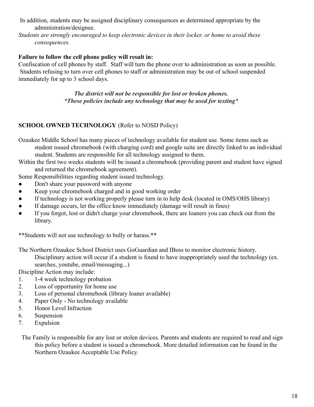- In addition, students may be assigned disciplinary consequences as determined appropriate by the administration/designee.
- *Students are strongly encouraged to keep electronic devices in their locker, or home to avoid these consequences.*

# **Failure to follow the cell phone policy will result in:**

Confiscation of cell phones by staff. Staff will turn the phone over to administration as soon as possible. Students refusing to turn over cell phones to staff or administration may be out of school suspended immediately for up to 3 school days.

> *The district will not be responsible for lost or broken phones. \*These policies include any technology that may be used for texting\**

# **SCHOOL OWNED TECHNOLOGY** (Refer to NOSD Policy)

Ozaukee Middle School has many pieces of technology available for student use. Some items such as student issued chromebook (with charging cord) and google suite are directly linked to an individual student. Students are responsible for all technology assigned to them.

Within the first two weeks students will be issued a chromebook (providing parent and student have signed and returned the chromebook agreement).

Some Responsibilities regarding student issued technology.

- Don't share your password with anyone
- Keep your chromebook charged and in good working order
- If technology is not working properly please turn in to help desk (located in OMS/OHS library)
- If damage occurs, let the office know immediately (damage will result in fines)
- If you forgot, lost or didn't charge your chromebook, there are loaners you can check out from the library.

\*\*Students will not use technology to bully or harass.\*\*

The Northern Ozaukee School District uses GoGuardian and IBoss to monitor electronic history.

Disciplinary action will occur if a student is found to have inappropriately used the technology (ex. searches, youtube, email/messaging...)

Discipline Action may include:

- 1. 1-4 week technology probation
- 2. Loss of opportunity for home use
- 3. Loss of personal chromebook (library loaner available)
- 4. Paper Only No technology available
- 5. Honor Level Infraction
- 6. Suspension
- 7. Expulsion

The Family is responsible for any lost or stolen devices. Parents and students are required to read and sign this policy before a student is issued a chromebook. More detailed information can be found in the Northern Ozaukee Acceptable Use Policy.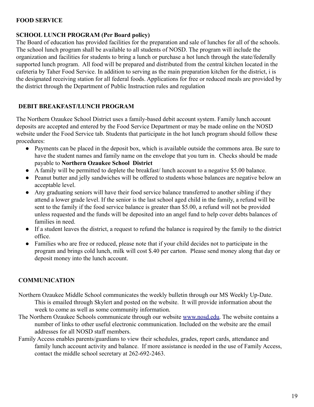## **FOOD SERVICE**

## **SCHOOL LUNCH PROGRAM (Per Board policy)**

The Board of education has provided facilities for the preparation and sale of lunches for all of the schools. The school lunch program shall be available to all students of NOSD. The program will include the organization and facilities for students to bring a lunch or purchase a hot lunch through the state/federally supported lunch program. All food will be prepared and distributed from the central kitchen located in the cafeteria by Taher Food Service. In addition to serving as the main preparation kitchen for the district, i is the designated receiving station for all federal foods. Applications for free or reduced meals are provided by the district through the Department of Public Instruction rules and regulation

# **DEBIT BREAKFAST/LUNCH PROGRAM**

The Northern Ozaukee School District uses a family-based debit account system. Family lunch account deposits are accepted and entered by the Food Service Department or may be made online on the NOSD website under the Food Service tab. Students that participate in the hot lunch program should follow these procedures:

- Payments can be placed in the deposit box, which is available outside the commons area. Be sure to have the student names and family name on the envelope that you turn in. Checks should be made payable to **Northern Ozaukee School District**
- A family will be permitted to deplete the breakfast/ lunch account to a negative \$5.00 balance.
- Peanut butter and jelly sandwiches will be offered to students whose balances are negative below an acceptable level.
- Any graduating seniors will have their food service balance transferred to another sibling if they attend a lower grade level. If the senior is the last school aged child in the family, a refund will be sent to the family if the food service balance is greater than \$5.00, a refund will not be provided unless requested and the funds will be deposited into an angel fund to help cover debts balances of families in need.
- If a student leaves the district, a request to refund the balance is required by the family to the district office.
- Families who are free or reduced, please note that if your child decides not to participate in the program and brings cold lunch, milk will cost \$.40 per carton. Please send money along that day or deposit money into the lunch account.

# **COMMUNICATION**

- Northern Ozaukee Middle School communicates the weekly bulletin through our MS Weekly Up-Date. This is emailed through Skylert and posted on the website. It will provide information about the week to come as well as some community information.
- The Northern Ozaukee Schools communicate through our website [www.nosd.edu.](http://www.nosd.edu) The website contains a number of links to other useful electronic communication. Included on the website are the email addresses for all NOSD staff members.
- Family Access enables parents/guardians to view their schedules, grades, report cards, attendance and family lunch account activity and balance. If more assistance is needed in the use of Family Access, contact the middle school secretary at 262-692-2463.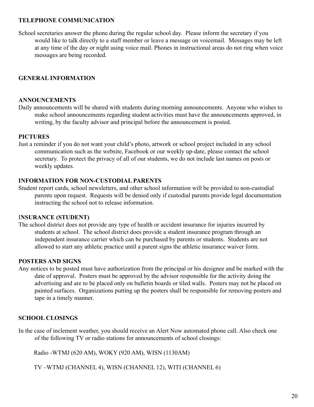#### **TELEPHONE COMMUNICATION**

School secretaries answer the phone during the regular school day. Please inform the secretary if you would like to talk directly to a staff member or leave a message on voicemail. Messages may be left at any time of the day or night using voice mail. Phones in instructional areas do not ring when voice messages are being recorded.

# **GENERAL INFORMATION**

#### **ANNOUNCEMENTS**

Daily announcements will be shared with students during morning announcements. Anyone who wishes to make school announcements regarding student activities must have the announcements approved, in writing, by the faculty advisor and principal before the announcement is posted.

### **PICTURES**

Just a reminder if you do not want your child's photo, artwork or school project included in any school communication such as the website, Facebook or our weekly up-date, please contact the school secretary. To protect the privacy of all of our students, we do not include last names on posts or weekly updates.

#### **INFORMATION FOR NON-CUSTODIAL PARENTS**

Student report cards, school newsletters, and other school information will be provided to non-custodial parents upon request. Requests will be denied only if custodial parents provide legal documentation instructing the school not to release information.

#### I**NSURANCE (STUDENT)**

The school district does not provide any type of health or accident insurance for injuries incurred by students at school. The school district does provide a student insurance program through an independent insurance carrier which can be purchased by parents or students. Students are not allowed to start any athletic practice until a parent signs the athletic insurance waiver form.

# **POSTERS AND SIGNS**

Any notices to be posted must have authorization from the principal or his designee and be marked with the date of approval. Posters must be approved by the advisor responsible for the activity doing the advertising and are to be placed only on bulletin boards or tiled walls. Posters may not be placed on painted surfaces. Organizations putting up the posters shall be responsible for removing posters and tape in a timely manner.

# **SCHOOL CLOSINGS**

In the case of inclement weather, you should receive an Alert Now automated phone call. Also check one of the following TV or radio stations for announcements of school closings:

Radio -WTMJ (620 AM), WOKY (920 AM), WISN (1130AM)

TV –WTMJ (CHANNEL 4), WISN (CHANNEL 12), WITI (CHANNEL 6)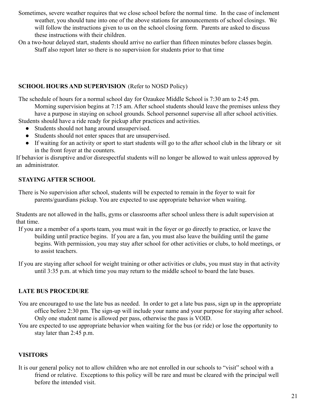- Sometimes, severe weather requires that we close school before the normal time. In the case of inclement weather, you should tune into one of the above stations for announcements of school closings. We will follow the instructions given to us on the school closing form. Parents are asked to discuss these instructions with their children.
- On a two-hour delayed start, students should arrive no earlier than fifteen minutes before classes begin. Staff also report later so there is no supervision for students prior to that time

# **SCHOOL HOURS AND SUPERVISION** (Refer to NOSD Policy)

The schedule of hours for a normal school day for Ozaukee Middle School is 7:30 am to 2:45 pm.

Morning supervision begins at 7:15 am. After school students should leave the premises unless they have a purpose in staying on school grounds. School personnel supervise all after school activities.

Students should have a ride ready for pickup after practices and activities.

- Students should not hang around unsupervised.
- Students should not enter spaces that are unsupervised.
- If waiting for an activity or sport to start students will go to the after school club in the library or sit in the front foyer at the counters.

If behavior is disruptive and/or disrespectful students will no longer be allowed to wait unless approved by an administrator.

# **STAYING AFTER SCHOOL**

There is No supervision after school, students will be expected to remain in the foyer to wait for parents/guardians pickup. You are expected to use appropriate behavior when waiting.

Students are not allowed in the halls, gyms or classrooms after school unless there is adult supervision at that time.

- If you are a member of a sports team, you must wait in the foyer or go directly to practice, or leave the building until practice begins. If you are a fan, you must also leave the building until the game begins. With permission, you may stay after school for other activities or clubs, to hold meetings, or to assist teachers.
- If you are staying after school for weight training or other activities or clubs, you must stay in that activity until 3:35 p.m. at which time you may return to the middle school to board the late buses.

# **LATE BUS PROCEDURE**

- You are encouraged to use the late bus as needed. In order to get a late bus pass, sign up in the appropriate office before 2:30 pm. The sign-up will include your name and your purpose for staying after school. Only one student name is allowed per pass, otherwise the pass is VOID.
- You are expected to use appropriate behavior when waiting for the bus (or ride) or lose the opportunity to stay later than 2:45 p.m.

# **VISITORS**

It is our general policy not to allow children who are not enrolled in our schools to "visit" school with a friend or relative. Exceptions to this policy will be rare and must be cleared with the principal well before the intended visit.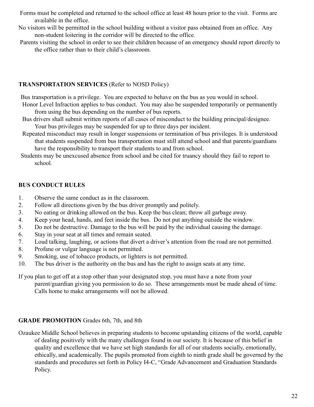- Forms must be completed and returned to the school office at least 48 hours prior to the visit. Forms are available in the office.
- No visitors will be permitted in the school building without a visitor pass obtained from an office. Any non-student loitering in the corridor will be directed to the office.
- Parents visiting the school in order to see their children because of an emergency should report directly to the office rather than to their child's classroom.

## **TRANSPORTATION SERVICES** (Refer to NOSD Policy)

Bus transportation is a privilege. You are expected to behave on the bus as you would in school.

- Honor Level Infraction applies to bus conduct. You may also be suspended temporarily or permanently from using the bus depending on the number of bus reports.
- Bus drivers shall submit written reports of all cases of misconduct to the building principal/designee. Your bus privileges may be suspended for up to three days per incident.
- Repeated misconduct may result in longer suspensions or termination of bus privileges. It is understood that students suspended from bus transportation must still attend school and that parents/guardians have the responsibility to transport their students to and from school.
- Students may be unexcused absence from school and be cited for truancy should they fail to report to school.

# **BUS CONDUCT RULES**

- 1. Observe the same conduct as in the classroom.
- 2. Follow all directions given by the bus driver promptly and politely.
- 3. No eating or drinking allowed on the bus. Keep the bus clean; throw all garbage away.
- 4. Keep your head, hands, and feet inside the bus. Do not put anything outside the window.
- 5. Do not be destructive. Damage to the bus will be paid by the individual causing the damage.
- 6. Stay in your seat at all times and remain seated.
- 7. Loud talking, laughing, or actions that divert a driver's attention from the road are not permitted.
- 8. Profane or vulgar language is not permitted.
- 9. Smoking, use of tobacco products, or lighters is not permitted.
- 10. The bus driver is the authority on the bus and has the right to assign seats at any time.
- If you plan to get off at a stop other than your designated stop, you must have a note from your parent/guardian giving you permission to do so. These arrangements must be made ahead of time. Calls home to make arrangements will not be allowed.

# **GRADE PROMOTION** Grades 6th, 7th, and 8th

Ozaukee Middle School believes in preparing students to become upstanding citizens of the world, capable of dealing positively with the many challenges found in our society. It is because of this belief in quality and excellence that we have set high standards for all of our students socially, emotionally, ethically, and academically. The pupils promoted from eighth to ninth grade shall be governed by the standards and procedures set forth in Policy I4-C, "Grade Advancement and Graduation Standards Policy.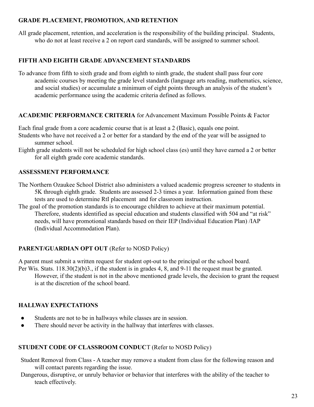#### **GRADE PLACEMENT, PROMOTION, AND RETENTION**

All grade placement, retention, and acceleration is the responsibility of the building principal. Students, who do not at least receive a 2 on report card standards, will be assigned to summer school.

# **FIFTH AND EIGHTH GRADE ADVANCEMENT STANDARDS**

To advance from fifth to sixth grade and from eighth to ninth grade, the student shall pass four core academic courses by meeting the grade level standards (language arts reading, mathematics, science, and social studies) or accumulate a minimum of eight points through an analysis of the student's academic performance using the academic criteria defined as follows.

# **ACADEMIC PERFORMANCE CRITERIA** for Advancement Maximum Possible Points & Factor

Each final grade from a core academic course that is at least a 2 (Basic), equals one point.

- Students who have not received a 2 or better for a standard by the end of the year will be assigned to summer school.
- Eighth grade students will not be scheduled for high school class (es) until they have earned a 2 or better for all eighth grade core academic standards.

# **ASSESSMENT PERFORMANCE**

The Northern Ozaukee School District also administers a valued academic progress screener to students in 5K through eighth grade. Students are assessed 2-3 times a year. Information gained from these tests are used to determine RtI placement and for classroom instruction.

The goal of the promotion standards is to encourage children to achieve at their maximum potential. Therefore, students identified as special education and students classified with 504 and "at risk" needs, will have promotional standards based on their IEP (Individual Education Plan) /IAP (Individual Accommodation Plan).

# **PARENT/GUARDIAN OPT OUT** (Refer to NOSD Policy)

A parent must submit a written request for student opt-out to the principal or the school board. Per Wis. Stats. 118.30(2)(b)3., if the student is in grades 4, 8, and 9-11 the request must be granted.

However, if the student is not in the above mentioned grade levels, the decision to grant the request is at the discretion of the school board.

# **HALLWAY EXPECTATIONS**

- Students are not to be in hallways while classes are in session.
- There should never be activity in the hallway that interferes with classes.

# **STUDENT CODE OF CLASSROOM CONDUC**T (Refer to NOSD Policy)

- Student Removal from Class A teacher may remove a student from class for the following reason and will contact parents regarding the issue.
- Dangerous, disruptive, or unruly behavior or behavior that interferes with the ability of the teacher to teach effectively.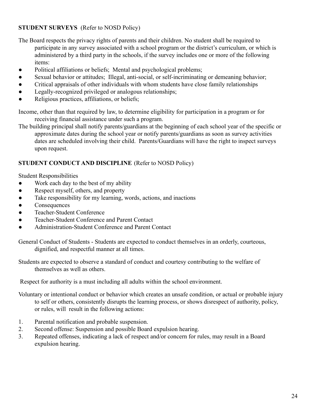# **STUDENT SURVEYS** (Refer to NOSD Policy)

The Board respects the privacy rights of parents and their children. No student shall be required to participate in any survey associated with a school program or the district's curriculum, or which is administered by a third party in the schools, if the survey includes one or more of the following items:

- Political affiliations or beliefs; Mental and psychological problems;
- Sexual behavior or attitudes; Illegal, anti-social, or self-incriminating or demeaning behavior;
- Critical appraisals of other individuals with whom students have close family relationships
- Legally-recognized privileged or analogous relationships;
- Religious practices, affiliations, or beliefs;

Income, other than that required by law, to determine eligibility for participation in a program or for receiving financial assistance under such a program.

The building principal shall notify parents/guardians at the beginning of each school year of the specific or approximate dates during the school year or notify parents/guardians as soon as survey activities dates are scheduled involving their child. Parents/Guardians will have the right to inspect surveys upon request.

# **STUDENT CONDUCT AND DISCIPLINE** (Refer to NOSD Policy)

Student Responsibilities

- Work each day to the best of my ability
- Respect myself, others, and property
- Take responsibility for my learning, words, actions, and inactions
- Consequences
- Teacher-Student Conference
- Teacher-Student Conference and Parent Contact
- Administration-Student Conference and Parent Contact

General Conduct of Students - Students are expected to conduct themselves in an orderly, courteous, dignified, and respectful manner at all times.

Students are expected to observe a standard of conduct and courtesy contributing to the welfare of themselves as well as others.

Respect for authority is a must including all adults within the school environment.

Voluntary or intentional conduct or behavior which creates an unsafe condition, or actual or probable injury to self or others, consistently disrupts the learning process, or shows disrespect of authority, policy, or rules, will result in the following actions:

- 1. Parental notification and probable suspension.
- 2. Second offense: Suspension and possible Board expulsion hearing.
- 3. Repeated offenses, indicating a lack of respect and/or concern for rules, may result in a Board expulsion hearing.